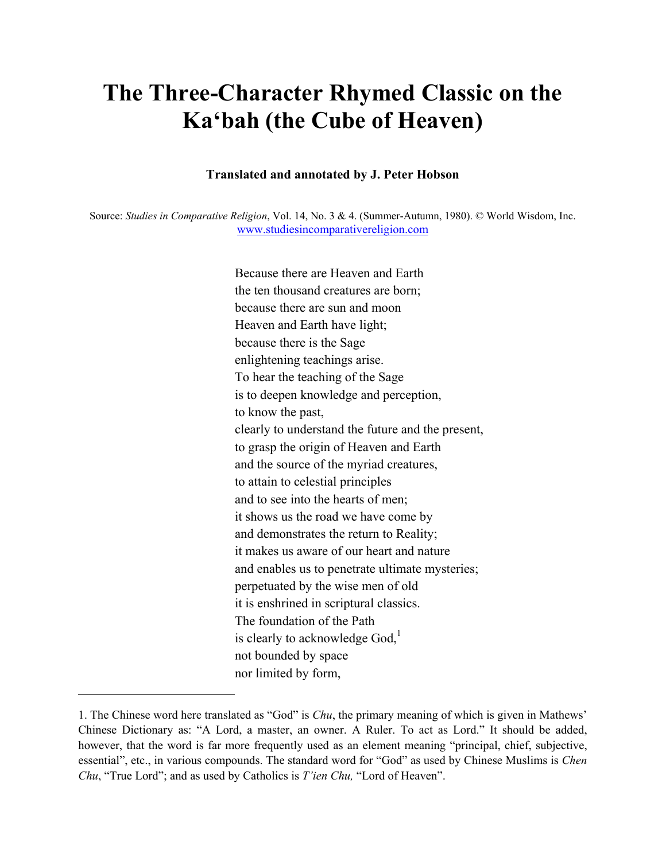## **The Three-Character Rhymed Classic on the Ka'bah (the Cube of Heaven)**

## **Translated and annotated by J. Peter Hobson**

 Source: *Studies in Comparative Religion*, Vol. 14, No. 3 & 4. (Summer-Autumn, 1980). © World Wisdom, Inc. www.studiesincomparativereligion.com

> Because there are Heaven and Earth the ten thousand creatures are born; because there are sun and moon Heaven and Earth have light; because there is the Sage enlightening teachings arise. To hear the teaching of the Sage is to deepen knowledge and perception, to know the past, clearly to understand the future and the present, to grasp the origin of Heaven and Earth and the source of the myriad creatures, to attain to celestial principles and to see into the hearts of men; it shows us the road we have come by and demonstrates the return to Reality; it makes us aware of our heart and nature and enables us to penetrate ultimate mysteries; perpetuated by the wise men of old it is enshrined in scriptural classics. The foundation of the Path is clearly to acknowledge  $God<sub>i</sub><sup>1</sup>$ not bounded by space nor limited by form,

<sup>1.</sup> The Chinese word here translated as "God" is *Chu*, the primary meaning of which is given in Mathews' Chinese Dictionary as: "A Lord, a master, an owner. A Ruler. To act as Lord." It should be added, however, that the word is far more frequently used as an element meaning "principal, chief, subjective, essential", etc., in various compounds. The standard word for "God" as used by Chinese Muslims is *Chen Chu*, "True Lord"; and as used by Catholics is *T'ien Chu,* "Lord of Heaven".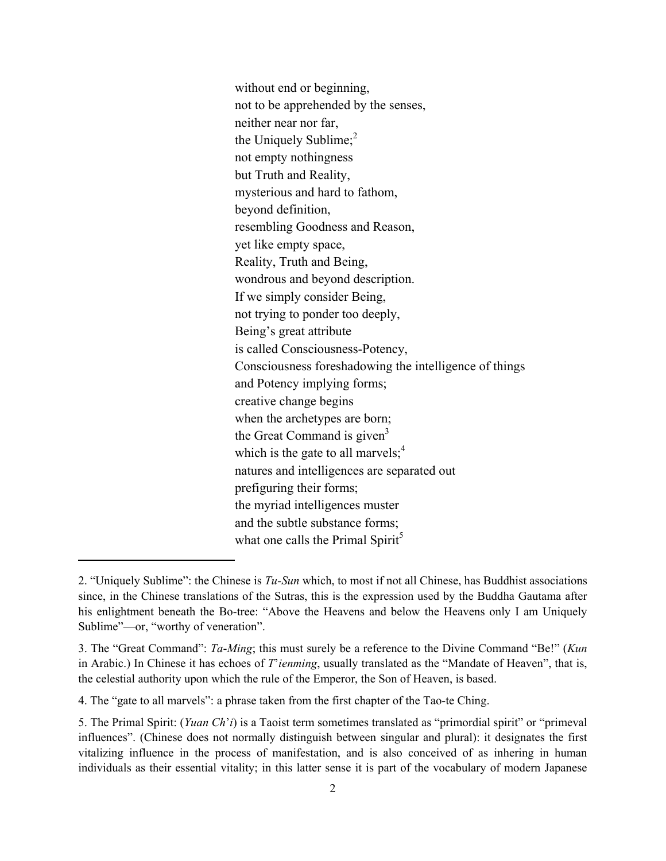the Great Command is given<sup>3</sup> without end or beginning, not to be apprehended by the senses, neither near nor far, the Uniquely Sublime; $<sup>2</sup>$ </sup> not empty nothingness but Truth and Reality, mysterious and hard to fathom, beyond definition, resembling Goodness and Reason, yet like empty space, Reality, Truth and Being, wondrous and beyond description. If we simply consider Being, not trying to ponder too deeply, Being's great attribute is called Consciousness-Potency, Consciousness foreshadowing the intelligence of things and Potency implying forms; creative change begins when the archetypes are born; which is the gate to all marvels; $<sup>4</sup>$ </sup> natures and intelligences are separated out prefiguring their forms; the myriad intelligences muster and the subtle substance forms; what one calls the Primal Spirit<sup>5</sup>

 his enlightment beneath the Bo-tree: "Above the Heavens and below the Heavens only I am Uniquely 2. "Uniquely Sublime": the Chinese is *Tu-Sun* which, to most if not all Chinese, has Buddhist associations since, in the Chinese translations of the Sutras, this is the expression used by the Buddha Gautama after Sublime"—or, "worthy of veneration".

<sup>3.</sup> The "Great Command": *Ta*-*Ming*; this must surely be a reference to the Divine Command "Be!" (*Kun*  in Arabic.) In Chinese it has echoes of *T*'*ienming*, usually translated as the "Mandate of Heaven", that is, the celestial authority upon which the rule of the Emperor, the Son of Heaven, is based.

<sup>4.</sup> The "gate to all marvels": a phrase taken from the first chapter of the Tao-te Ching.

<sup>5.</sup> The Primal Spirit: (*Yuan Ch*'*i*) is a Taoist term sometimes translated as "primordial spirit" or "primeval influences". (Chinese does not normally distinguish between singular and plural): it designates the first vitalizing influence in the process of manifestation, and is also conceived of as inhering in human individuals as their essential vitality; in this latter sense it is part of the vocabulary of modern Japanese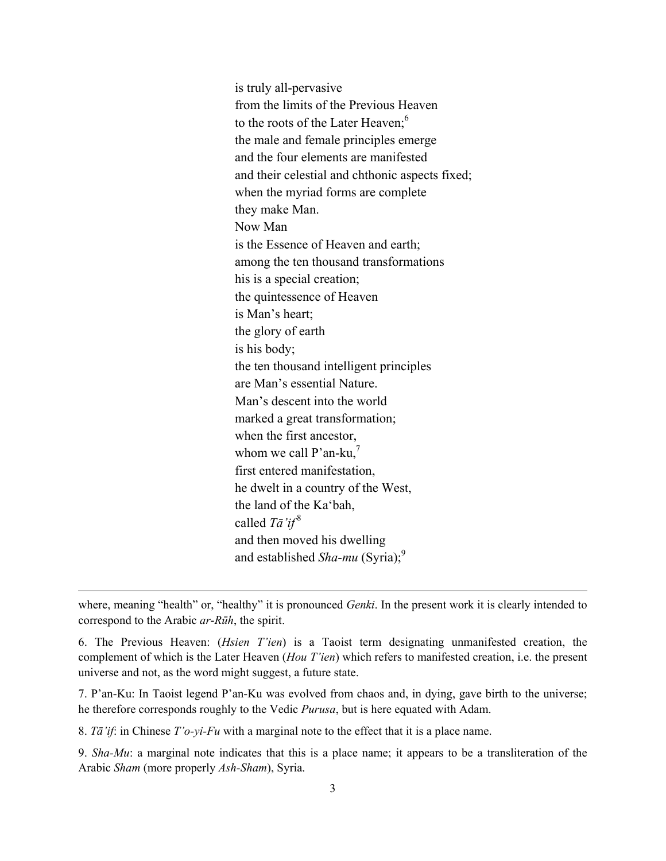from the limits of the Previous Heaven to the roots of the Later Heaven;<sup>6</sup> to the roots of the Later Heaven;<sup>6</sup> whom we call  $P'$ an-ku,<sup>7</sup> is truly all-pervasive the male and female principles emerge and the four elements are manifested and their celestial and chthonic aspects fixed; when the myriad forms are complete they make Man. Now Man is the Essence of Heaven and earth; among the ten thousand transformations his is a special creation; the quintessence of Heaven is Man's heart; the glory of earth is his body; the ten thousand intelligent principles are Man's essential Nature. Man's descent into the world marked a great transformation; when the first ancestor, first entered manifestation, he dwelt in a country of the West, the land of the Ka'bah, called *Tā'if* <sup>8</sup> and then moved his dwelling and established *Sha-mu* (Syria);<sup>9</sup>

where, meaning "health" or, "healthy" it is pronounced *Genki*. In the present work it is clearly intended to correspond to the Arabic *ar*-*Rūh*, the spirit.

<u> 1989 - Johann Stein, marwolaethau a gweledydd a ganlad y ganlad y ganlad y ganlad y ganlad y ganlad y ganlad</u>

6. The Previous Heaven: (*Hsien T'ien*) is a Taoist term designating unmanifested creation, the complement of which is the Later Heaven (*Hou T'ien*) which refers to manifested creation, i.e. the present universe and not, as the word might suggest, a future state.

7. P'an-Ku: In Taoist legend P'an-Ku was evolved from chaos and, in dying, gave birth to the universe; he therefore corresponds roughly to the Vedic *Purusa*, but is here equated with Adam.

8. *Tā'if*: in Chinese *T'o-yi-Fu* with a marginal note to the effect that it is a place name.

9. *Sha-Mu*: a marginal note indicates that this is a place name; it appears to be a transliteration of the Arabic *Sham* (more properly *Ash-Sham*), Syria.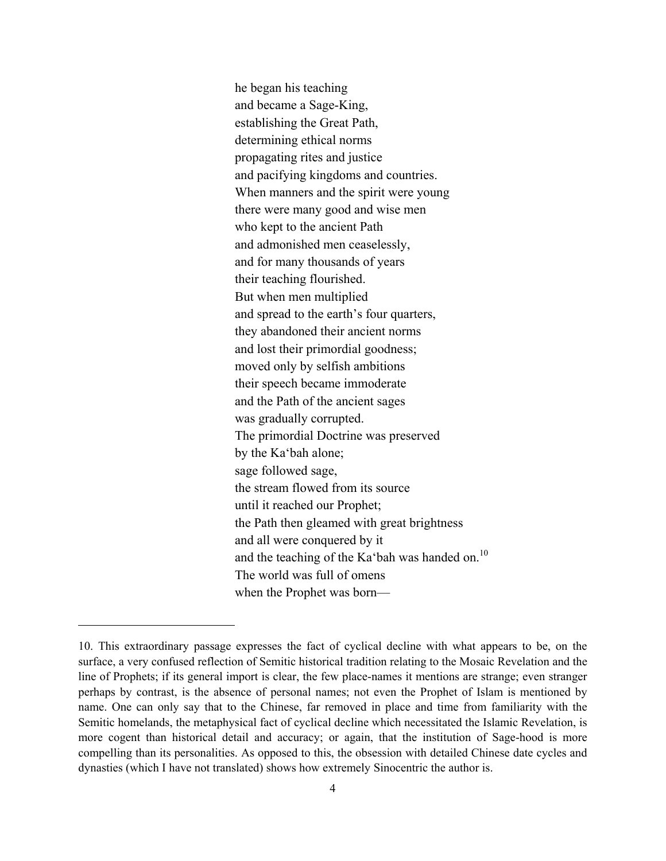and the teaching of the Ka'bah was handed on. $^{10}$ he began his teaching and became a Sage-King, establishing the Great Path, determining ethical norms propagating rites and justice and pacifying kingdoms and countries. When manners and the spirit were young there were many good and wise men who kept to the ancient Path and admonished men ceaselessly, and for many thousands of years their teaching flourished. But when men multiplied and spread to the earth's four quarters, they abandoned their ancient norms and lost their primordial goodness; moved only by selfish ambitions their speech became immoderate and the Path of the ancient sages was gradually corrupted. The primordial Doctrine was preserved by the Ka'bah alone; sage followed sage, the stream flowed from its source until it reached our Prophet; the Path then gleamed with great brightness and all were conquered by it The world was full of omens when the Prophet was born—

<sup>10.</sup> This extraordinary passage expresses the fact of cyclical decline with what appears to be, on the surface, a very confused reflection of Semitic historical tradition relating to the Mosaic Revelation and the line of Prophets; if its general import is clear, the few place-names it mentions are strange; even stranger perhaps by contrast, is the absence of personal names; not even the Prophet of Islam is mentioned by name. One can only say that to the Chinese, far removed in place and time from familiarity with the Semitic homelands, the metaphysical fact of cyclical decline which necessitated the Islamic Revelation, is more cogent than historical detail and accuracy; or again, that the institution of Sage-hood is more compelling than its personalities. As opposed to this, the obsession with detailed Chinese date cycles and dynasties (which I have not translated) shows how extremely Sinocentric the author is.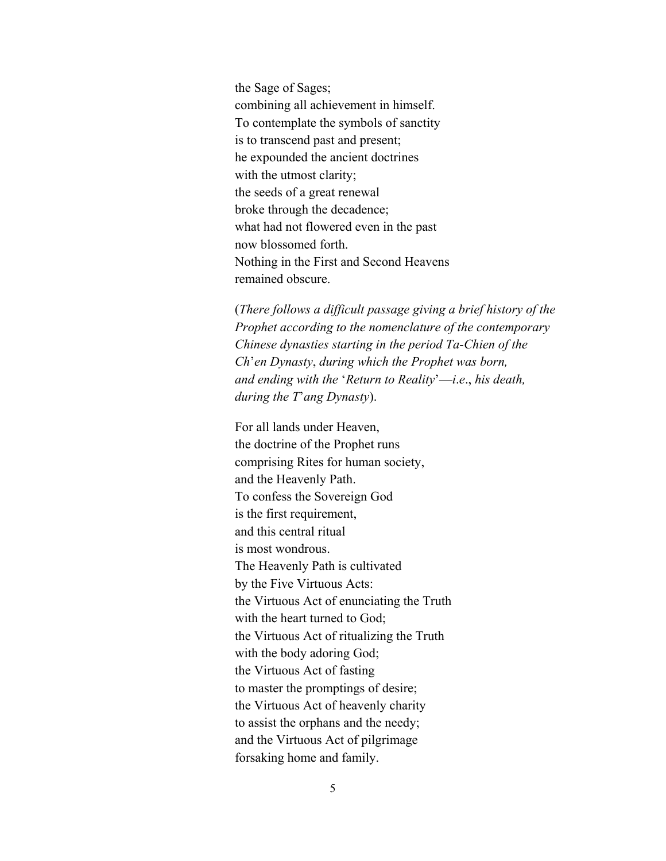the Sage of Sages; combining all achievement in himself. To contemplate the symbols of sanctity is to transcend past and present; he expounded the ancient doctrines with the utmost clarity; the seeds of a great renewal broke through the decadence; what had not flowered even in the past now blossomed forth. Nothing in the First and Second Heavens remained obscure.

 *during the T*'*ang Dynasty*). For all lands under Heaven, (*There follows a difficult passage giving a brief history of the Prophet according to the nomenclature of the contemporary Chinese dynasties starting in the period Ta*-*Chien of the Ch*'*en Dynasty*, *during which the Prophet was born, and ending with the* '*Return to Reality*'—*i*.*e*., *his death,* 

the doctrine of the Prophet runs comprising Rites for human society, and the Heavenly Path. To confess the Sovereign God is the first requirement, and this central ritual is most wondrous. The Heavenly Path is cultivated by the Five Virtuous Acts: the Virtuous Act of enunciating the Truth with the heart turned to God; the Virtuous Act of ritualizing the Truth with the body adoring God; the Virtuous Act of fasting to master the promptings of desire; the Virtuous Act of heavenly charity to assist the orphans and the needy; and the Virtuous Act of pilgrimage forsaking home and family.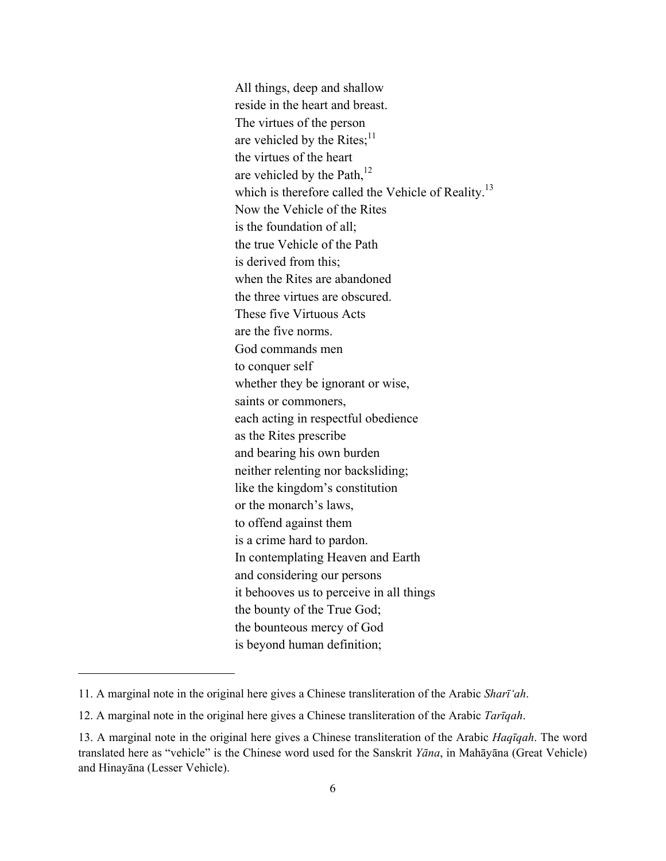are vehicled by the Rites; $11$ are vehicled by the Path, $12$  neither relenting nor backsliding; like the kingdom's constitution All things, deep and shallow reside in the heart and breast. The virtues of the person the virtues of the heart which is therefore called the Vehicle of Reality.<sup>13</sup> Now the Vehicle of the Rites is the foundation of all; the true Vehicle of the Path is derived from this; when the Rites are abandoned the three virtues are obscured. These five Virtuous Acts are the five norms. God commands men to conquer self whether they be ignorant or wise, saints or commoners, each acting in respectful obedience as the Rites prescribe and bearing his own burden or the monarch's laws, to offend against them is a crime hard to pardon. In contemplating Heaven and Earth and considering our persons it behooves us to perceive in all things the bounty of the True God; the bounteous mercy of God is beyond human definition;

<sup>11.</sup> A marginal note in the original here gives a Chinese transliteration of the Arabic *Sharī'ah*.

<sup>12.</sup> A marginal note in the original here gives a Chinese transliteration of the Arabic *Tarīqah*.

<sup>13.</sup> A marginal note in the original here gives a Chinese transliteration of the Arabic *Haqīqah*. The word translated here as "vehicle" is the Chinese word used for the Sanskrit *Yāna*, in Mahāyāna (Great Vehicle) and Hinayāna (Lesser Vehicle).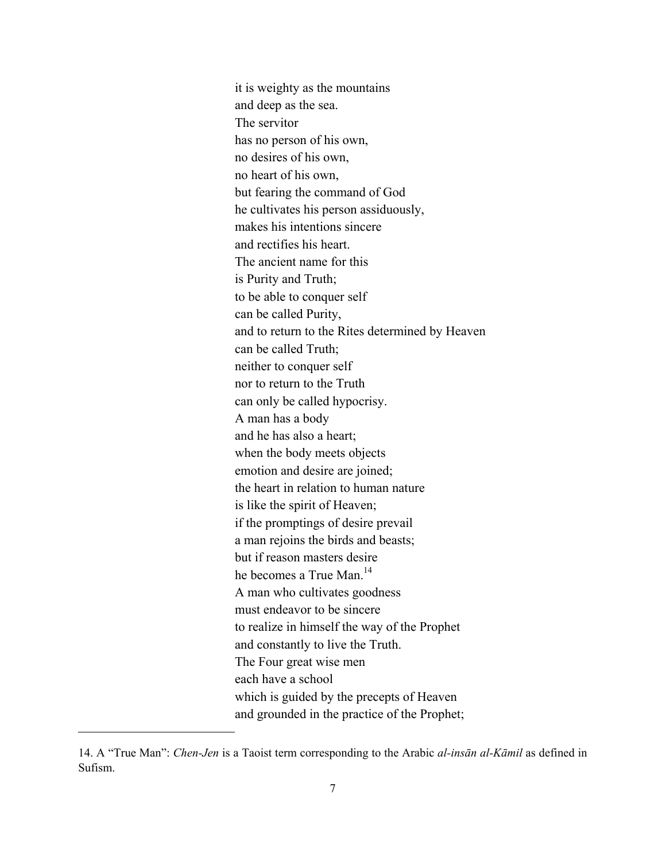nor to return to the Truth it is weighty as the mountains and deep as the sea. The servitor has no person of his own, no desires of his own, no heart of his own, but fearing the command of God he cultivates his person assiduously, makes his intentions sincere and rectifies his heart. The ancient name for this is Purity and Truth; to be able to conquer self can be called Purity, and to return to the Rites determined by Heaven can be called Truth; neither to conquer self can only be called hypocrisy. A man has a body and he has also a heart; when the body meets objects emotion and desire are joined; the heart in relation to human nature is like the spirit of Heaven; if the promptings of desire prevail a man rejoins the birds and beasts; but if reason masters desire he becomes a True Man<sup>14</sup> A man who cultivates goodness must endeavor to be sincere to realize in himself the way of the Prophet and constantly to live the Truth. The Four great wise men each have a school which is guided by the precepts of Heaven and grounded in the practice of the Prophet;

<sup>14.</sup> A "True Man": *Chen-Jen* is a Taoist term corresponding to the Arabic *al-insān al-Kāmil* as defined in Sufism.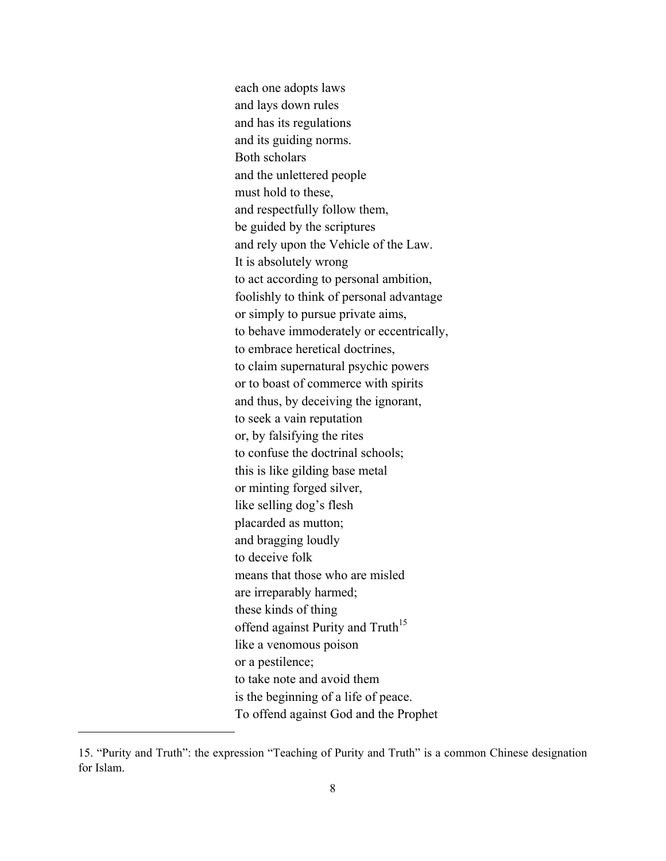offend against Purity and Truth<sup>15</sup> each one adopts laws and lays down rules and has its regulations and its guiding norms. Both scholars and the unlettered people must hold to these, and respectfully follow them, be guided by the scriptures and rely upon the Vehicle of the Law. It is absolutely wrong to act according to personal ambition, foolishly to think of personal advantage or simply to pursue private aims, to behave immoderately or eccentrically, to embrace heretical doctrines, to claim supernatural psychic powers or to boast of commerce with spirits and thus, by deceiving the ignorant, to seek a vain reputation or, by falsifying the rites to confuse the doctrinal schools; this is like gilding base metal or minting forged silver, like selling dog's flesh placarded as mutton; and bragging loudly to deceive folk means that those who are misled are irreparably harmed; these kinds of thing like a venomous poison or a pestilence; to take note and avoid them is the beginning of a life of peace. To offend against God and the Prophet

<sup>15. &</sup>quot;Purity and Truth": the expression "Teaching of Purity and Truth" is a common Chinese designation for Islam.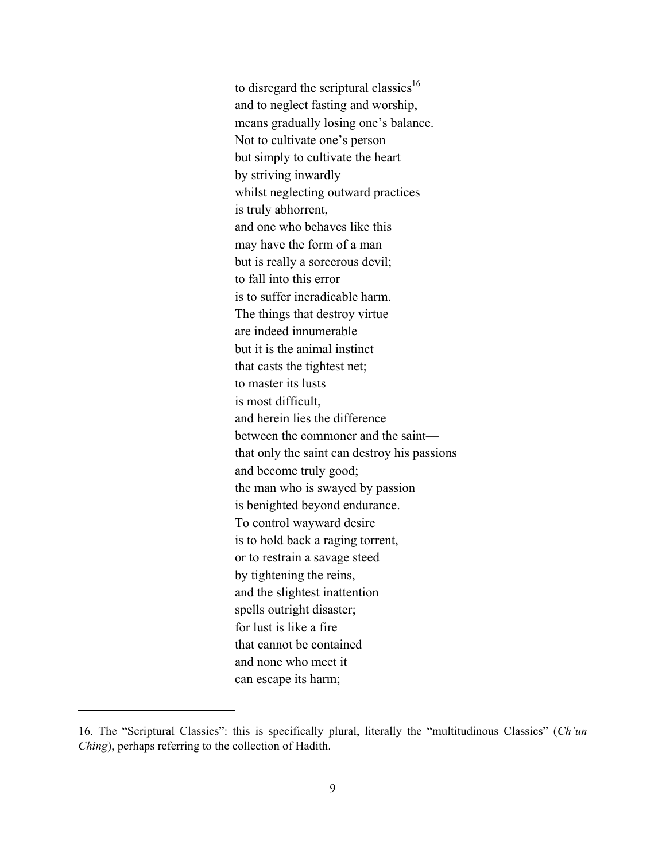to disregard the scriptural classics<sup>16</sup> and to neglect fasting and worship, means gradually losing one's balance. Not to cultivate one's person but simply to cultivate the heart by striving inwardly whilst neglecting outward practices is truly abhorrent, and one who behaves like this may have the form of a man but is really a sorcerous devil; to fall into this error is to suffer ineradicable harm. The things that destroy virtue are indeed innumerable but it is the animal instinct that casts the tightest net; to master its lusts is most difficult, and herein lies the difference between the commoner and the saint that only the saint can destroy his passions and become truly good; the man who is swayed by passion is benighted beyond endurance. To control wayward desire is to hold back a raging torrent, or to restrain a savage steed by tightening the reins, and the slightest inattention spells outright disaster; for lust is like a fire that cannot be contained and none who meet it can escape its harm;

<sup>16.</sup> The "Scriptural Classics": this is specifically plural, literally the "multitudinous Classics" (*Ch'un Ching*), perhaps referring to the collection of Hadith.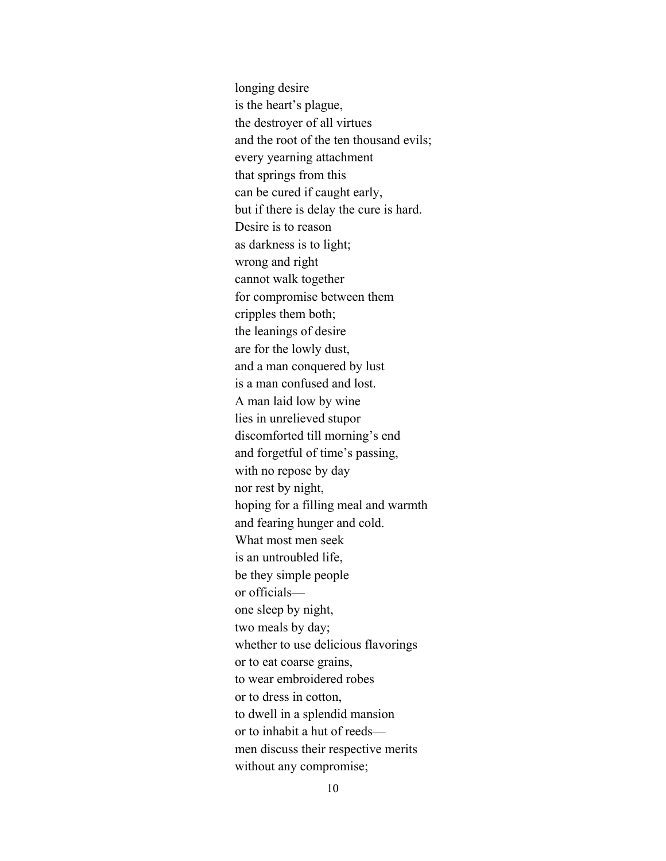longing desire is the heart's plague, the destroyer of all virtues and the root of the ten thousand evils; every yearning attachment that springs from this can be cured if caught early, but if there is delay the cure is hard. Desire is to reason as darkness is to light; wrong and right cannot walk together for compromise between them cripples them both; the leanings of desire are for the lowly dust, and a man conquered by lust is a man confused and lost. A man laid low by wine lies in unrelieved stupor discomforted till morning's end and forgetful of time's passing, with no repose by day nor rest by night, hoping for a filling meal and warmth and fearing hunger and cold. What most men seek is an untroubled life, be they simple people or officials one sleep by night, two meals by day; whether to use delicious flavorings or to eat coarse grains, to wear embroidered robes or to dress in cotton, to dwell in a splendid mansion or to inhabit a hut of reeds men discuss their respective merits without any compromise;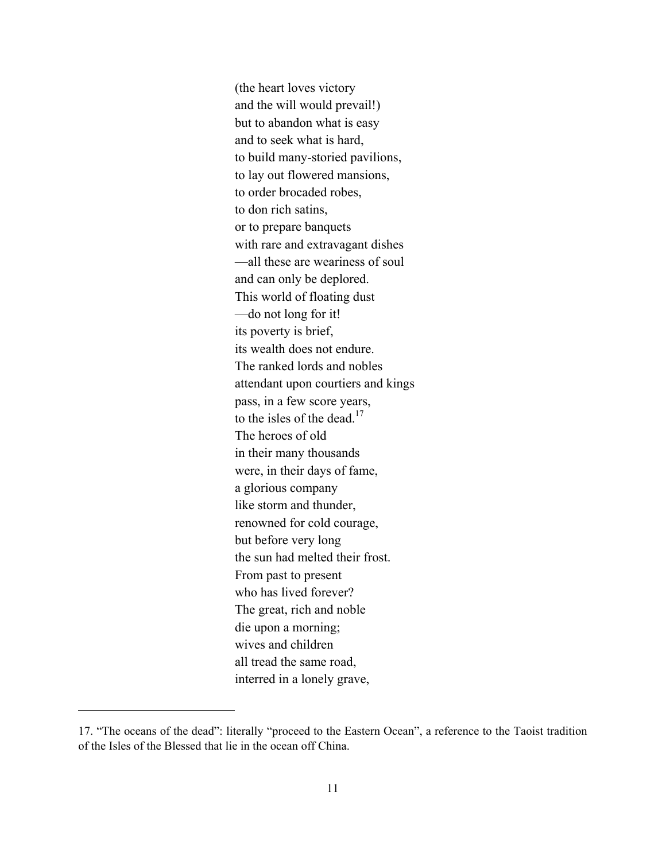to the isles of the dead.<sup>17</sup> who has lived forever? (the heart loves victory and the will would prevail!) but to abandon what is easy and to seek what is hard, to build many-storied pavilions, to lay out flowered mansions, to order brocaded robes, to don rich satins, or to prepare banquets with rare and extravagant dishes —all these are weariness of soul and can only be deplored. This world of floating dust —do not long for it! its poverty is brief, its wealth does not endure. The ranked lords and nobles attendant upon courtiers and kings pass, in a few score years, The heroes of old in their many thousands were, in their days of fame, a glorious company like storm and thunder, renowned for cold courage, but before very long the sun had melted their frost. From past to present The great, rich and noble die upon a morning; wives and children all tread the same road, interred in a lonely grave,

<sup>17. &</sup>quot;The oceans of the dead": literally "proceed to the Eastern Ocean", a reference to the Taoist tradition of the Isles of the Blessed that lie in the ocean off China.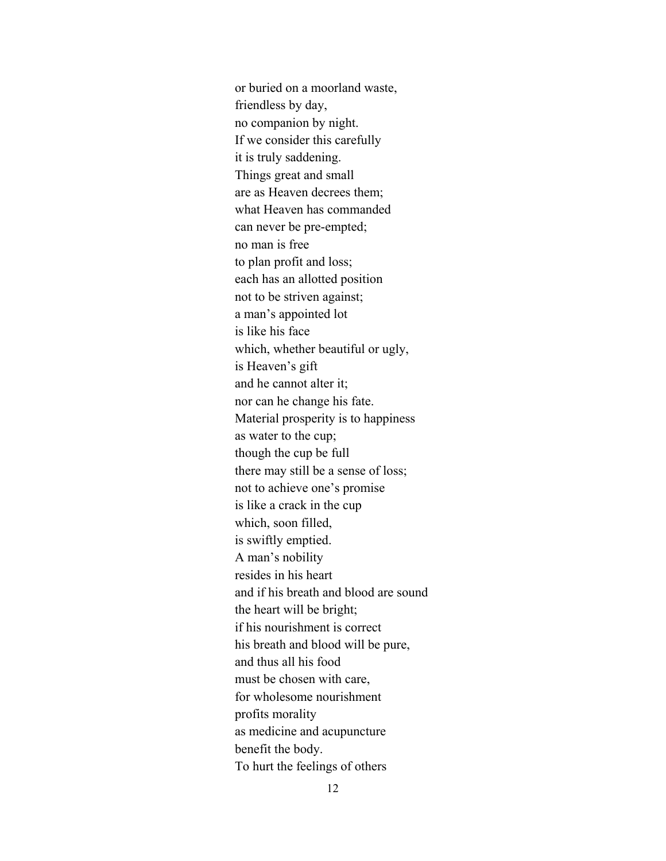or buried on a moorland waste, friendless by day, no companion by night. If we consider this carefully it is truly saddening. Things great and small are as Heaven decrees them; what Heaven has commanded can never be pre-empted; no man is free to plan profit and loss; each has an allotted position not to be striven against; a man's appointed lot is like his face which, whether beautiful or ugly, is Heaven's gift and he cannot alter it; nor can he change his fate. Material prosperity is to happiness as water to the cup; though the cup be full there may still be a sense of loss; not to achieve one's promise is like a crack in the cup which, soon filled, is swiftly emptied. A man's nobility resides in his heart and if his breath and blood are sound the heart will be bright; if his nourishment is correct his breath and blood will be pure, and thus all his food must be chosen with care, for wholesome nourishment profits morality as medicine and acupuncture benefit the body. To hurt the feelings of others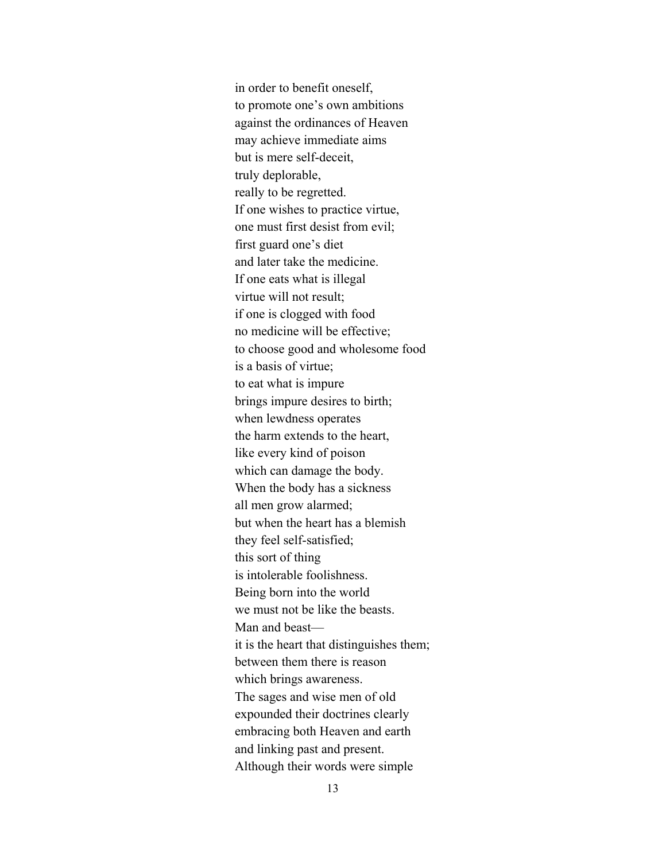may achieve immediate aims in order to benefit oneself, to promote one's own ambitions against the ordinances of Heaven but is mere self-deceit, truly deplorable, really to be regretted. If one wishes to practice virtue, one must first desist from evil; first guard one's diet and later take the medicine. If one eats what is illegal virtue will not result; if one is clogged with food no medicine will be effective; to choose good and wholesome food is a basis of virtue; to eat what is impure brings impure desires to birth; when lewdness operates the harm extends to the heart, like every kind of poison which can damage the body. When the body has a sickness all men grow alarmed; but when the heart has a blemish they feel self-satisfied; this sort of thing is intolerable foolishness. Being born into the world we must not be like the beasts. Man and beast it is the heart that distinguishes them; between them there is reason which brings awareness. The sages and wise men of old expounded their doctrines clearly embracing both Heaven and earth and linking past and present. Although their words were simple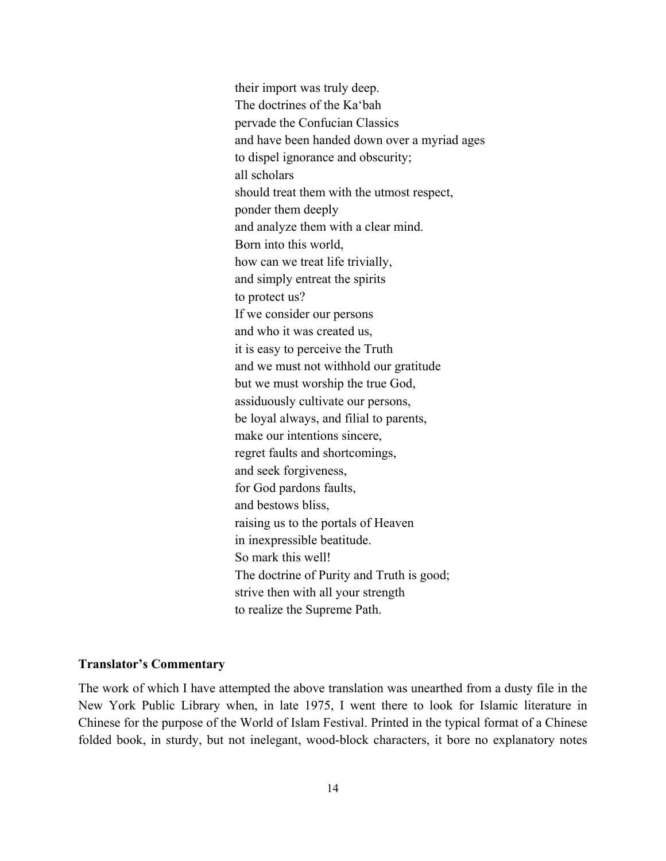their import was truly deep. The doctrines of the Ka'bah pervade the Confucian Classics and have been handed down over a myriad ages to dispel ignorance and obscurity; all scholars should treat them with the utmost respect, ponder them deeply and analyze them with a clear mind. Born into this world, how can we treat life trivially, and simply entreat the spirits to protect us? If we consider our persons and who it was created us, it is easy to perceive the Truth and we must not withhold our gratitude but we must worship the true God, assiduously cultivate our persons, be loyal always, and filial to parents, make our intentions sincere, regret faults and shortcomings, and seek forgiveness, for God pardons faults, and bestows bliss, raising us to the portals of Heaven in inexpressible beatitude. So mark this well! The doctrine of Purity and Truth is good; strive then with all your strength to realize the Supreme Path.

## **Translator's Commentary**

The work of which I have attempted the above translation was unearthed from a dusty file in the New York Public Library when, in late 1975, I went there to look for Islamic literature in Chinese for the purpose of the World of Islam Festival. Printed in the typical format of a Chinese folded book, in sturdy, but not inelegant, wood-block characters, it bore no explanatory notes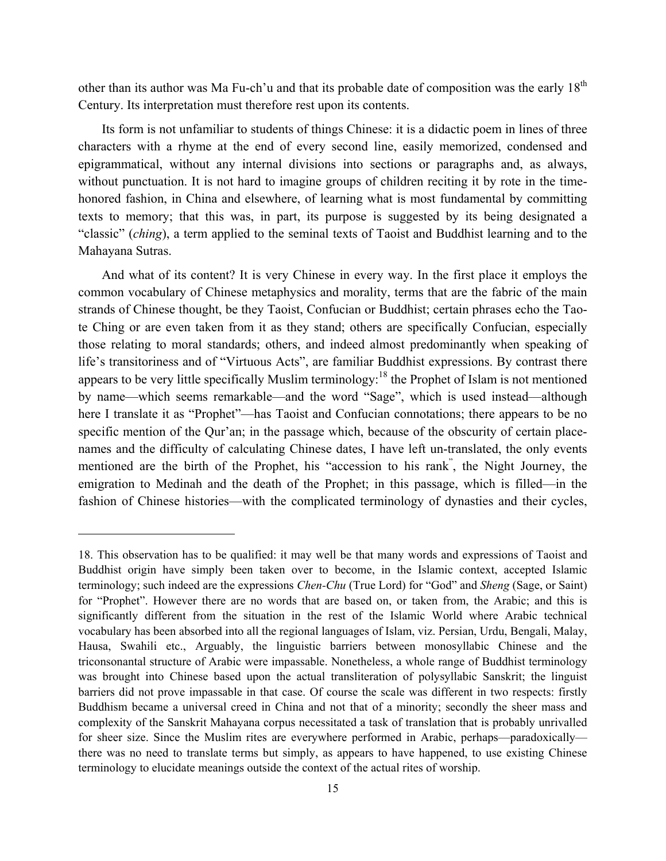other than its author was Ma Fu-ch'u and that its probable date of composition was the early 18<sup>th</sup> Century. Its interpretation must therefore rest upon its contents.

Its form is not unfamiliar to students of things Chinese: it is a didactic poem in lines of three characters with a rhyme at the end of every second line, easily memorized, condensed and epigrammatical, without any internal divisions into sections or paragraphs and, as always, without punctuation. It is not hard to imagine groups of children reciting it by rote in the timehonored fashion, in China and elsewhere, of learning what is most fundamental by committing texts to memory; that this was, in part, its purpose is suggested by its being designated a "classic" (*ching*), a term applied to the seminal texts of Taoist and Buddhist learning and to the Mahayana Sutras.

And what of its content? It is very Chinese in every way. In the first place it employs the common vocabulary of Chinese metaphysics and morality, terms that are the fabric of the main strands of Chinese thought, be they Taoist, Confucian or Buddhist; certain phrases echo the Taote Ching or are even taken from it as they stand; others are specifically Confucian, especially those relating to moral standards; others, and indeed almost predominantly when speaking of life's transitoriness and of "Virtuous Acts", are familiar Buddhist expressions. By contrast there appears to be very little specifically Muslim terminology:<sup>18</sup> the Prophet of Islam is not mentioned by name—which seems remarkable—and the word "Sage", which is used instead—although here I translate it as "Prophet"—has Taoist and Confucian connotations; there appears to be no specific mention of the Qur'an; in the passage which, because of the obscurity of certain placenames and the difficulty of calculating Chinese dates, I have left un-translated, the only events mentioned are the birth of the Prophet, his "accession to his rank<sup>"</sup>, the Night Journey, the emigration to Medinah and the death of the Prophet; in this passage, which is filled—in the fashion of Chinese histories—with the complicated terminology of dynasties and their cycles,

<sup>18.</sup> This observation has to be qualified: it may well be that many words and expressions of Taoist and Buddhist origin have simply been taken over to become, in the Islamic context, accepted Islamic terminology; such indeed are the expressions *Chen-Chu* (True Lord) for "God" and *Sheng* (Sage, or Saint) for "Prophet". However there are no words that are based on, or taken from, the Arabic; and this is significantly different from the situation in the rest of the Islamic World where Arabic technical vocabulary has been absorbed into all the regional languages of Islam, viz. Persian, Urdu, Bengali, Malay, Hausa, Swahili etc., Arguably, the linguistic barriers between monosyllabic Chinese and the triconsonantal structure of Arabic were impassable. Nonetheless, a whole range of Buddhist terminology was brought into Chinese based upon the actual transliteration of polysyllabic Sanskrit; the linguist barriers did not prove impassable in that case. Of course the scale was different in two respects: firstly Buddhism became a universal creed in China and not that of a minority; secondly the sheer mass and complexity of the Sanskrit Mahayana corpus necessitated a task of translation that is probably unrivalled for sheer size. Since the Muslim rites are everywhere performed in Arabic, perhaps—paradoxically there was no need to translate terms but simply, as appears to have happened, to use existing Chinese terminology to elucidate meanings outside the context of the actual rites of worship.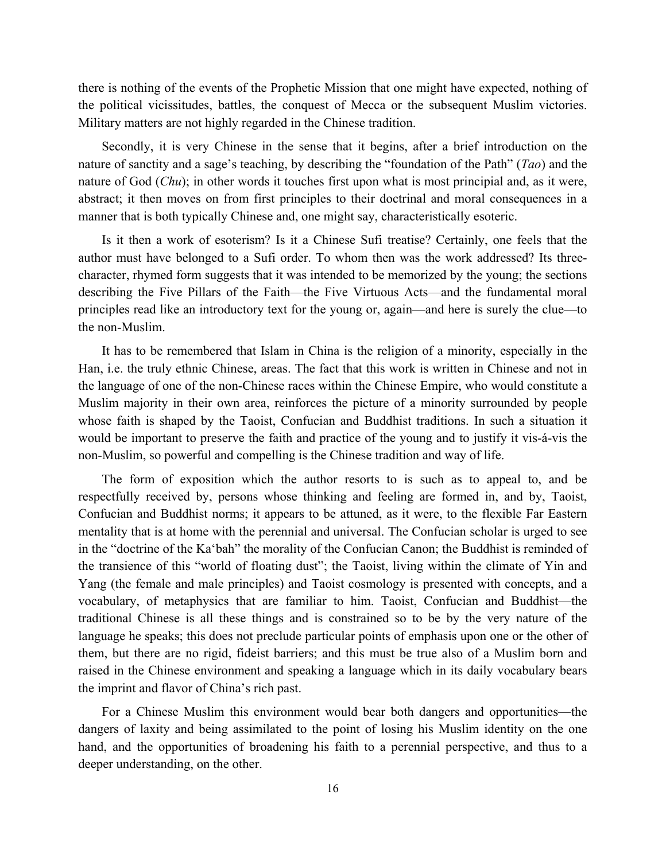there is nothing of the events of the Prophetic Mission that one might have expected, nothing of the political vicissitudes, battles, the conquest of Mecca or the subsequent Muslim victories. Military matters are not highly regarded in the Chinese tradition.

Secondly, it is very Chinese in the sense that it begins, after a brief introduction on the nature of sanctity and a sage's teaching, by describing the "foundation of the Path" (*Tao*) and the nature of God (*Chu*); in other words it touches first upon what is most principial and, as it were, abstract; it then moves on from first principles to their doctrinal and moral consequences in a manner that is both typically Chinese and, one might say, characteristically esoteric.

Is it then a work of esoterism? Is it a Chinese Sufi treatise? Certainly, one feels that the author must have belonged to a Sufi order. To whom then was the work addressed? Its threecharacter, rhymed form suggests that it was intended to be memorized by the young; the sections describing the Five Pillars of the Faith—the Five Virtuous Acts—and the fundamental moral principles read like an introductory text for the young or, again—and here is surely the clue—to the non-Muslim.

It has to be remembered that Islam in China is the religion of a minority, especially in the Han, i.e. the truly ethnic Chinese, areas. The fact that this work is written in Chinese and not in the language of one of the non-Chinese races within the Chinese Empire, who would constitute a Muslim majority in their own area, reinforces the picture of a minority surrounded by people whose faith is shaped by the Taoist, Confucian and Buddhist traditions. In such a situation it would be important to preserve the faith and practice of the young and to justify it vis-á-vis the non-Muslim, so powerful and compelling is the Chinese tradition and way of life.

The form of exposition which the author resorts to is such as to appeal to, and be respectfully received by, persons whose thinking and feeling are formed in, and by, Taoist, Confucian and Buddhist norms; it appears to be attuned, as it were, to the flexible Far Eastern mentality that is at home with the perennial and universal. The Confucian scholar is urged to see in the "doctrine of the Ka'bah" the morality of the Confucian Canon; the Buddhist is reminded of the transience of this "world of floating dust"; the Taoist, living within the climate of Yin and Yang (the female and male principles) and Taoist cosmology is presented with concepts, and a vocabulary, of metaphysics that are familiar to him. Taoist, Confucian and Buddhist—the traditional Chinese is all these things and is constrained so to be by the very nature of the language he speaks; this does not preclude particular points of emphasis upon one or the other of them, but there are no rigid, fideist barriers; and this must be true also of a Muslim born and raised in the Chinese environment and speaking a language which in its daily vocabulary bears the imprint and flavor of China's rich past.

For a Chinese Muslim this environment would bear both dangers and opportunities—the dangers of laxity and being assimilated to the point of losing his Muslim identity on the one hand, and the opportunities of broadening his faith to a perennial perspective, and thus to a deeper understanding, on the other.